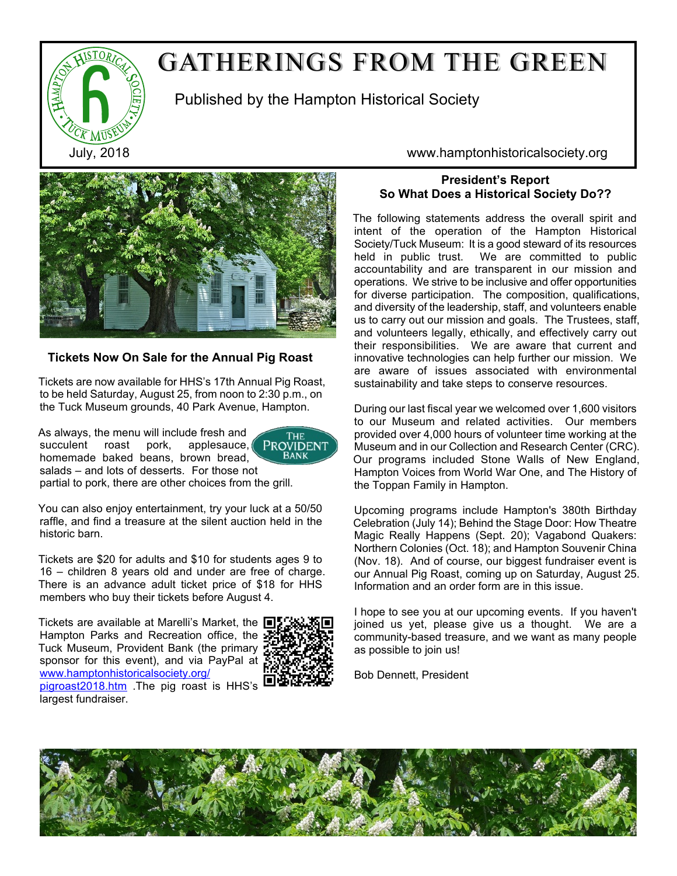

# GATHERINGS FROM THE GREEN

Published by the Hampton Historical Society



## **Tickets Now On Sale for the Annual Pig Roast**

Tickets are now available for HHS's 17th Annual Pig Roast, to be held Saturday, August 25, from noon to 2:30 p.m., on the Tuck Museum grounds, 40 Park Avenue, Hampton.

As always, the menu will include fresh and succulent roast pork, applesauce, homemade baked beans, brown bread, salads – and lots of desserts. For those not



partial to pork, there are other choices from the grill.

You can also enjoy entertainment, try your luck at a 50/50 raffle, and find a treasure at the silent auction held in the historic barn.

Tickets are \$20 for adults and \$10 for students ages 9 to 16 – children 8 years old and under are free of charge. There is an advance adult ticket price of \$18 for HHS members who buy their tickets before August 4.

Tickets are available at Marelli's Market, the ■ Hampton Parks and Recreation office, the : Tuck Museum, Provident Bank (the primary sponsor for this event), and via PayPal a[t](http://www.hamptonhistoricalsociety.org/pigroast2018.htm) [www.hamptonhistoricalsociety.org/](http://www.hamptonhistoricalsociety.org/pigroast2018.htm) [pigroast2018.htm](http://www.hamptonhistoricalsociety.org/pigroast2018.htm) .The pig roast is HHS's



largest fundraiser.

July, 2018 www.hamptonhistoricalsociety.org

# **President's Report So What Does a Historical Society Do??**

The following statements address the overall spirit and intent of the operation of the Hampton Historical Society/Tuck Museum: It is a good steward of its resources held in public trust. We are committed to public accountability and are transparent in our mission and operations. We strive to be inclusive and offer opportunities for diverse participation. The composition, qualifications, and diversity of the leadership, staff, and volunteers enable us to carry out our mission and goals. The Trustees, staff, and volunteers legally, ethically, and effectively carry out their responsibilities. We are aware that current and innovative technologies can help further our mission. We are aware of issues associated with environmental sustainability and take steps to conserve resources.

During our last fiscal year we welcomed over 1,600 visitors to our Museum and related activities. Our members provided over 4,000 hours of volunteer time working at the Museum and in our Collection and Research Center (CRC). Our programs included Stone Walls of New England, Hampton Voices from World War One, and The History of the Toppan Family in Hampton.

Upcoming programs include Hampton's 380th Birthday Celebration (July 14); Behind the Stage Door: How Theatre Magic Really Happens (Sept. 20); Vagabond Quakers: Northern Colonies (Oct. 18); and Hampton Souvenir China (Nov. 18). And of course, our biggest fundraiser event is our Annual Pig Roast, coming up on Saturday, August 25. Information and an order form are in this issue.

I hope to see you at our upcoming events. If you haven't joined us yet, please give us a thought. We are a community-based treasure, and we want as many people as possible to join us!

Bob Dennett, President

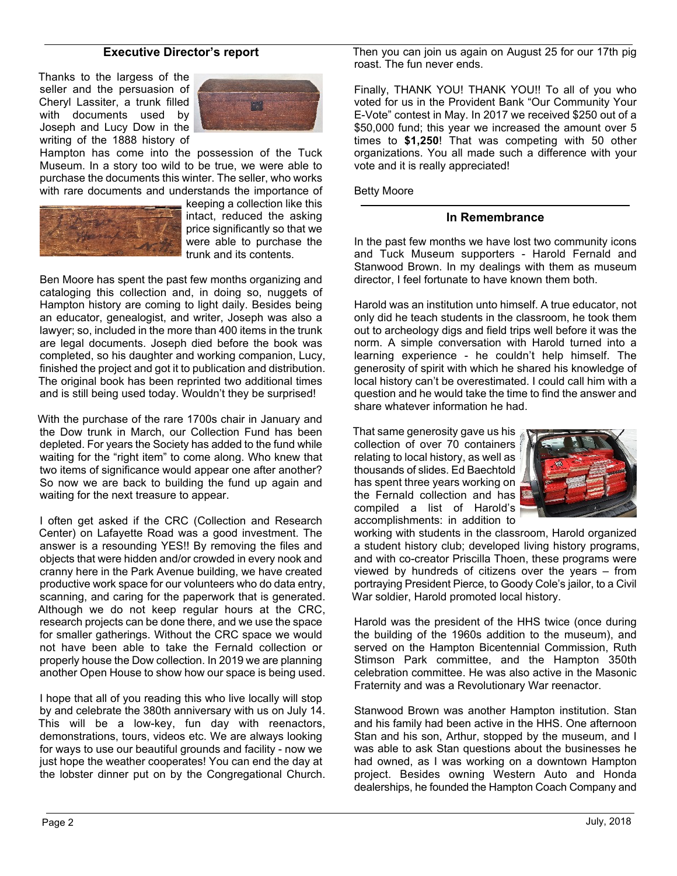## **Executive Director's report**

Thanks to the largess of the seller and the persuasion of Cheryl Lassiter, a trunk filled with documents used by Joseph and Lucy Dow in the writing of the 1888 history of



Hampton has come into the possession of the Tuck Museum. In a story too wild to be true, we were able to purchase the documents this winter. The seller, who works with rare documents and understands the importance of



keeping a collection like this intact, reduced the asking price significantly so that we were able to purchase the trunk and its contents.

Ben Moore has spent the past few months organizing and cataloging this collection and, in doing so, nuggets of Hampton history are coming to light daily. Besides being an educator, genealogist, and writer, Joseph was also a lawyer; so, included in the more than 400 items in the trunk are legal documents. Joseph died before the book was completed, so his daughter and working companion, Lucy, finished the project and got it to publication and distribution. The original book has been reprinted two additional times and is still being used today. Wouldn't they be surprised!

With the purchase of the rare 1700s chair in January and the Dow trunk in March, our Collection Fund has been depleted. For years the Society has added to the fund while waiting for the "right item" to come along. Who knew that two items of significance would appear one after another? So now we are back to building the fund up again and waiting for the next treasure to appear.

I often get asked if the CRC (Collection and Research Center) on Lafayette Road was a good investment. The answer is a resounding YES!! By removing the files and objects that were hidden and/or crowded in every nook and cranny here in the Park Avenue building, we have created productive work space for our volunteers who do data entry, scanning, and caring for the paperwork that is generated. Although we do not keep regular hours at the CRC, research projects can be done there, and we use the space for smaller gatherings. Without the CRC space we would not have been able to take the Fernald collection or properly house the Dow collection. In 2019 we are planning another Open House to show how our space is being used.

I hope that all of you reading this who live locally will stop by and celebrate the 380th anniversary with us on July 14. This will be a low-key, fun day with reenactors, demonstrations, tours, videos etc. We are always looking for ways to use our beautiful grounds and facility - now we just hope the weather cooperates! You can end the day at the lobster dinner put on by the Congregational Church. Then you can join us again on August 25 for our 17th pig roast. The fun never ends.

Finally, THANK YOU! THANK YOU!! To all of you who voted for us in the Provident Bank "Our Community Your E-Vote" contest in May. In 2017 we received \$250 out of a \$50,000 fund; this year we increased the amount over 5 times to **\$1,250**! That was competing with 50 other organizations. You all made such a difference with your vote and it is really appreciated!

Betty Moore

#### **In Remembrance**

In the past few months we have lost two community icons and Tuck Museum supporters - Harold Fernald and Stanwood Brown. In my dealings with them as museum director, I feel fortunate to have known them both.

Harold was an institution unto himself. A true educator, not only did he teach students in the classroom, he took them out to archeology digs and field trips well before it was the norm. A simple conversation with Harold turned into a learning experience - he couldn't help himself. The generosity of spirit with which he shared his knowledge of local history can't be overestimated. I could call him with a question and he would take the time to find the answer and share whatever information he had.

That same generosity gave us his collection of over 70 containers relating to local history, as well as thousands of slides. Ed Baechtold has spent three years working on the Fernald collection and has compiled a list of Harold's accomplishments: in addition to



working with students in the classroom, Harold organized a student history club; developed living history programs, and with co-creator Priscilla Thoen, these programs were viewed by hundreds of citizens over the years – from portraying President Pierce, to Goody Cole's jailor, to a Civil War soldier, Harold promoted local history.

Harold was the president of the HHS twice (once during the building of the 1960s addition to the museum), and served on the Hampton Bicentennial Commission. Ruth Stimson Park committee, and the Hampton 350th celebration committee. He was also active in the Masonic Fraternity and was a Revolutionary War reenactor.

Stanwood Brown was another Hampton institution. Stan and his family had been active in the HHS. One afternoon Stan and his son, Arthur, stopped by the museum, and I was able to ask Stan questions about the businesses he had owned, as I was working on a downtown Hampton project. Besides owning Western Auto and Honda dealerships, he founded the Hampton Coach Company and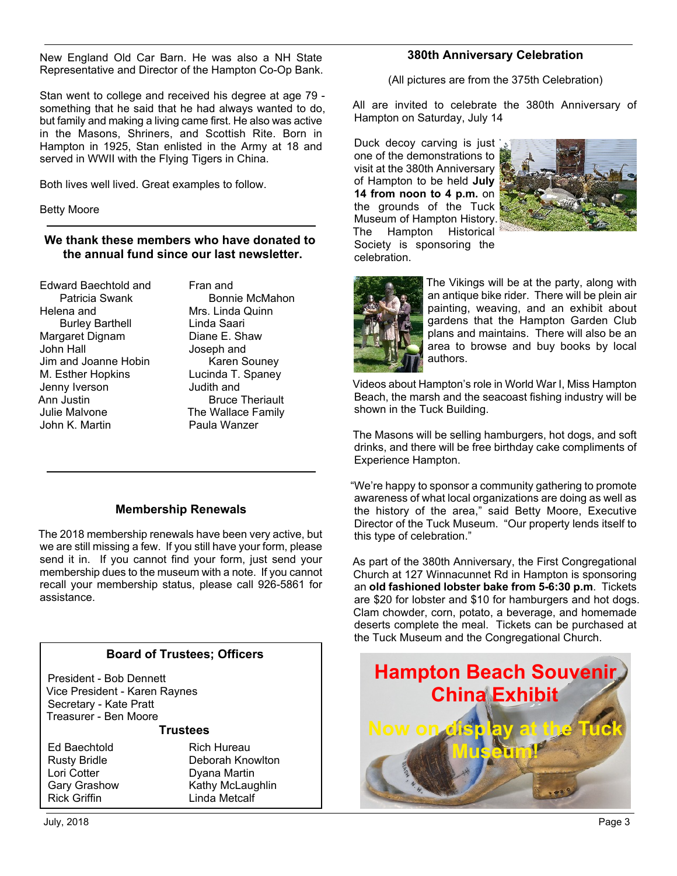New England Old Car Barn. He was also a NH State Representative and Director of the Hampton Co-Op Bank.

Stan went to college and received his degree at age 79 something that he said that he had always wanted to do, but family and making a living came first. He also was active in the Masons, Shriners, and Scottish Rite. Born in Hampton in 1925, Stan enlisted in the Army at 18 and served in WWII with the Flying Tigers in China.

Both lives well lived. Great examples to follow.

Betty Moore

# **We thank these members who have donated to the annual fund since our last newsletter.**

Edward Baechtold and Patricia Swank Helena and Burley Barthell Margaret Dignam John Hall Jim and Joanne Hobin M. Esther Hopkins Jenny Iverson Ann Justin Julie Malvone John K. Martin

Fran and Bonnie McMahon Mrs. Linda Quinn Linda Saari Diane E. Shaw Joseph and Karen Souney Lucinda T. Spaney Judith and Bruce Theriault The Wallace Family Paula Wanzer

# **Membership Renewals**

The 2018 membership renewals have been very active, but we are still missing a few. If you still have your form, please send it in. If you cannot find your form, just send your membership dues to the museum with a note. If you cannot recall your membership status, please call 926-5861 for assistance.

# **Board of Trustees; Officers**

President - Bob Dennett Vice President - Karen Raynes Secretary - Kate Pratt Treasurer - Ben Moore

**Trustees**

Ed Baechtold Rusty Bridle Lori Cotter Gary Grashow Rick Griffin

Rich Hureau Deborah Knowlton Dyana Martin Kathy McLaughlin Linda Metcalf

## **380th Anniversary Celebration**

(All pictures are from the 375th Celebration)

All are invited to celebrate the 380th Anniversary of Hampton on Saturday, July 14

Duck decoy carving is just one of the demonstrations to visit at the 380th Anniversary of Hampton to be held **July 14 from noon to 4 p.m.** on the grounds of the Tuck Museum of Hampton History. The Hampton Historical Society is sponsoring the celebration.





The Vikings will be at the party, along with an antique bike rider. There will be plein air painting, weaving, and an exhibit about gardens that the Hampton Garden Club plans and maintains. There will also be an area to browse and buy books by local authors.

Videos about Hampton's role in World War I, Miss Hampton Beach, the marsh and the seacoast fishing industry will be shown in the Tuck Building.

The Masons will be selling hamburgers, hot dogs, and soft drinks, and there will be free birthday cake compliments of Experience Hampton.

"We're happy to sponsor a community gathering to promote awareness of what local organizations are doing as well as the history of the area," said Betty Moore, Executive Director of the Tuck Museum. "Our property lends itself to this type of celebration."

As part of the 380th Anniversary, the First Congregational Church at 127 Winnacunnet Rd in Hampton is sponsoring an **old fashioned lobster bake from 5-6:30 p.m**. Tickets are \$20 for lobster and \$10 for hamburgers and hot dogs. Clam chowder, corn, potato, a beverage, and homemade deserts complete the meal. Tickets can be purchased at the Tuck Museum and the Congregational Church.